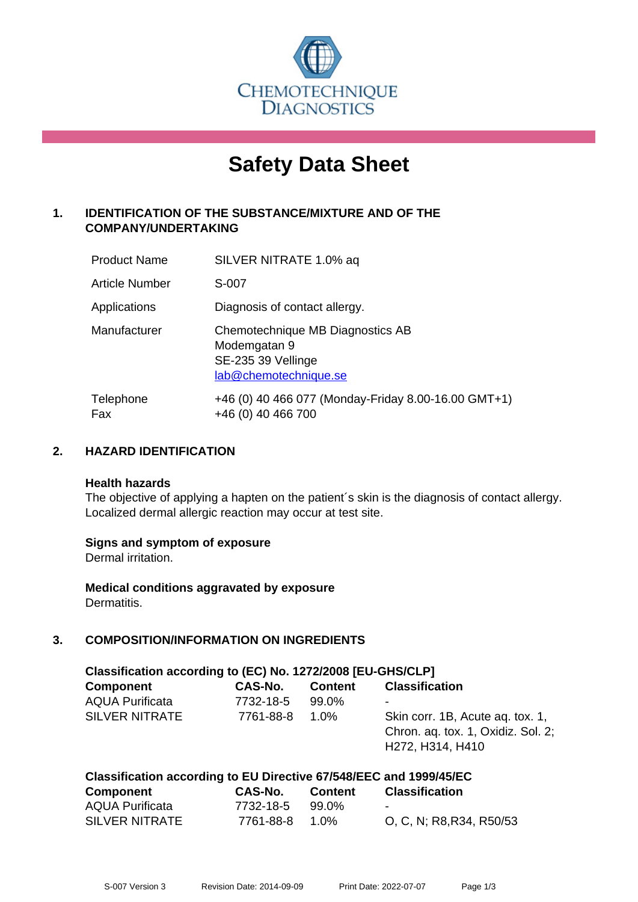

# **Safety Data Sheet**

# **1. IDENTIFICATION OF THE SUBSTANCE/MIXTURE AND OF THE COMPANY/UNDERTAKING**

| <b>Product Name</b>   | SILVER NITRATE 1.0% aq                                                                          |
|-----------------------|-------------------------------------------------------------------------------------------------|
| <b>Article Number</b> | S-007                                                                                           |
| Applications          | Diagnosis of contact allergy.                                                                   |
| Manufacturer          | Chemotechnique MB Diagnostics AB<br>Modemgatan 9<br>SE-235 39 Vellinge<br>lab@chemotechnique.se |
| Telephone<br>Fax      | +46 (0) 40 466 077 (Monday-Friday 8.00-16.00 GMT+1)<br>+46 (0) 40 466 700                       |

# **2. HAZARD IDENTIFICATION**

#### **Health hazards**

The objective of applying a hapten on the patient's skin is the diagnosis of contact allergy. Localized dermal allergic reaction may occur at test site.

## **Signs and symptom of exposure**

Dermal irritation.

**Medical conditions aggravated by exposure** Dermatitis.

# **3. COMPOSITION/INFORMATION ON INGREDIENTS**

| Classification according to (EC) No. 1272/2008 [EU-GHS/CLP] |           |                |                                                                                            |  |
|-------------------------------------------------------------|-----------|----------------|--------------------------------------------------------------------------------------------|--|
| <b>Component</b>                                            | CAS-No.   | <b>Content</b> | <b>Classification</b>                                                                      |  |
| <b>AQUA Purificata</b>                                      | 7732-18-5 | 99.0%          |                                                                                            |  |
| <b>SILVER NITRATE</b>                                       | 7761-88-8 | $1.0\%$        | Skin corr. 1B, Acute ag. tox. 1,<br>Chron. ag. tox. 1, Oxidiz. Sol. 2;<br>H272, H314, H410 |  |

| Classification according to EU Directive 67/548/EEC and 1999/45/EC |           |         |                          |  |
|--------------------------------------------------------------------|-----------|---------|--------------------------|--|
| Component                                                          | CAS-No.   | Content | Classification           |  |
| <b>AQUA Purificata</b>                                             | 7732-18-5 | 99.0%   | $\sim$                   |  |
| SILVER NITRATE                                                     | 7761-88-8 | 1.0%    | O, C, N; R8, R34, R50/53 |  |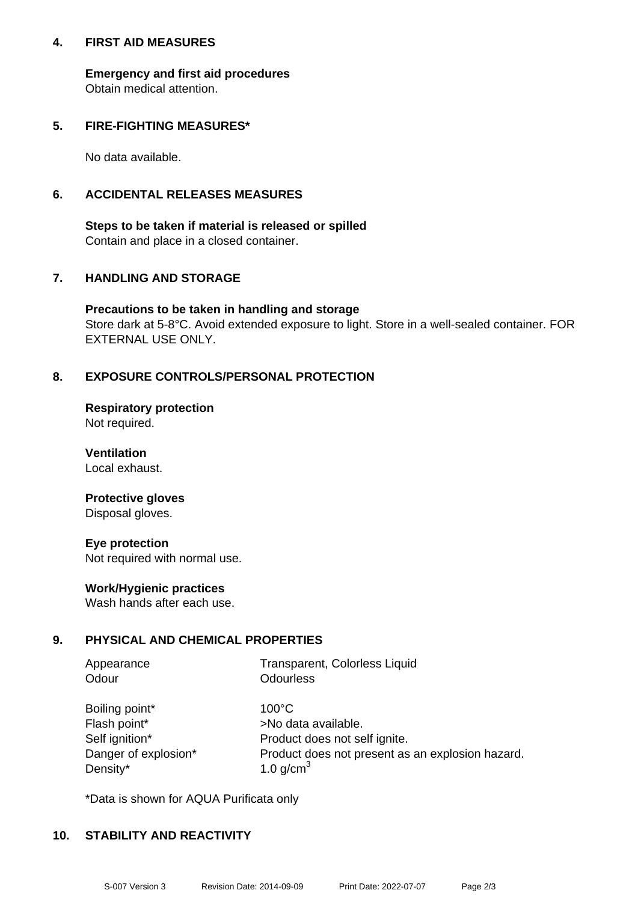### **4. FIRST AID MEASURES**

**Emergency and first aid procedures** Obtain medical attention.

## **5. FIRE-FIGHTING MEASURES\***

No data available.

## **6. ACCIDENTAL RELEASES MEASURES**

**Steps to be taken if material is released or spilled** Contain and place in a closed container.

# **7. HANDLING AND STORAGE**

**Precautions to be taken in handling and storage** Store dark at 5-8°C. Avoid extended exposure to light. Store in a well-sealed container. FOR EXTERNAL USE ONLY.

# **8. EXPOSURE CONTROLS/PERSONAL PROTECTION**

**Respiratory protection** Not required.

**Ventilation** Local exhaust.

#### **Protective gloves** Disposal gloves.

**Eye protection** Not required with normal use.

## **Work/Hygienic practices**

Wash hands after each use.

## **9. PHYSICAL AND CHEMICAL PROPERTIES**

| Appearance | Transparent, Colorless Liquid |
|------------|-------------------------------|
| Odour      | Odourless                     |
|            |                               |

| Boiling point*       | $100^{\circ}$ C                                  |
|----------------------|--------------------------------------------------|
| Flash point*         | >No data available.                              |
| Self ignition*       | Product does not self ignite.                    |
| Danger of explosion* | Product does not present as an explosion hazard. |
| Density*             | 1.0 $q/cm3$                                      |

\*Data is shown for AQUA Purificata only

## **10. STABILITY AND REACTIVITY**